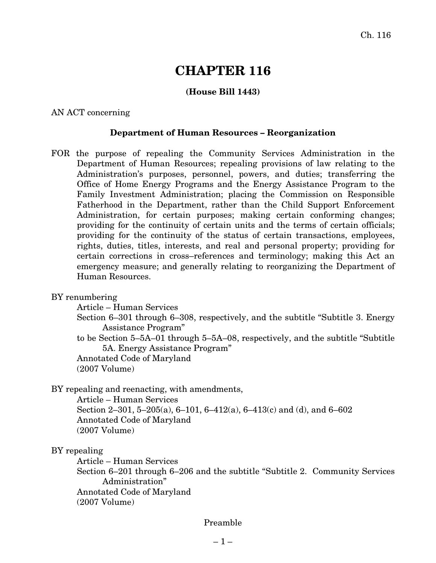# **CHAPTER 116**

# **(House Bill 1443)**

AN ACT concerning

#### **Department of Human Resources – Reorganization**

- FOR the purpose of repealing the Community Services Administration in the Department of Human Resources; repealing provisions of law relating to the Administration's purposes, personnel, powers, and duties; transferring the Office of Home Energy Programs and the Energy Assistance Program to the Family Investment Administration; placing the Commission on Responsible Fatherhood in the Department, rather than the Child Support Enforcement Administration, for certain purposes; making certain conforming changes; providing for the continuity of certain units and the terms of certain officials; providing for the continuity of the status of certain transactions, employees, rights, duties, titles, interests, and real and personal property; providing for certain corrections in cross–references and terminology; making this Act an emergency measure; and generally relating to reorganizing the Department of Human Resources.
- BY renumbering

Article – Human Services

Section 6–301 through 6–308, respectively, and the subtitle "Subtitle 3. Energy Assistance Program"

to be Section 5–5A–01 through 5–5A–08, respectively, and the subtitle "Subtitle 5A. Energy Assistance Program"

Annotated Code of Maryland (2007 Volume)

BY repealing and reenacting, with amendments,

Article – Human Services Section 2–301, 5–205(a), 6–101, 6–412(a), 6–413(c) and (d), and 6–602 Annotated Code of Maryland (2007 Volume)

#### BY repealing

Article – Human Services

Section 6–201 through 6–206 and the subtitle "Subtitle 2. Community Services Administration"

Annotated Code of Maryland

(2007 Volume)

#### Preamble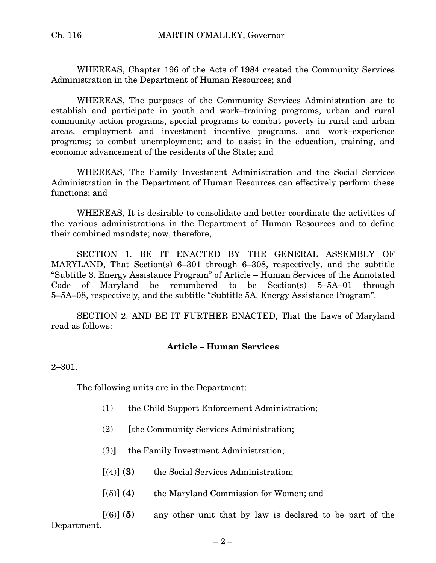WHEREAS, Chapter 196 of the Acts of 1984 created the Community Services Administration in the Department of Human Resources; and

WHEREAS, The purposes of the Community Services Administration are to establish and participate in youth and work–training programs, urban and rural community action programs, special programs to combat poverty in rural and urban areas, employment and investment incentive programs, and work–experience programs; to combat unemployment; and to assist in the education, training, and economic advancement of the residents of the State; and

WHEREAS, The Family Investment Administration and the Social Services Administration in the Department of Human Resources can effectively perform these functions; and

WHEREAS, It is desirable to consolidate and better coordinate the activities of the various administrations in the Department of Human Resources and to define their combined mandate; now, therefore,

SECTION 1. BE IT ENACTED BY THE GENERAL ASSEMBLY OF MARYLAND, That Section(s) 6–301 through 6–308, respectively, and the subtitle "Subtitle 3. Energy Assistance Program" of Article – Human Services of the Annotated Code of Maryland be renumbered to be Section(s) 5–5A–01 through 5–5A–08, respectively, and the subtitle "Subtitle 5A. Energy Assistance Program".

SECTION 2. AND BE IT FURTHER ENACTED, That the Laws of Maryland read as follows:

# **Article – Human Services**

2–301.

The following units are in the Department:

- (1) the Child Support Enforcement Administration;
- (2) **[**the Community Services Administration;
- (3)**]** the Family Investment Administration;
- **[**(4)**] (3)** the Social Services Administration;
- **[**(5)**] (4)** the Maryland Commission for Women; and

**[**(6)**] (5)** any other unit that by law is declared to be part of the Department.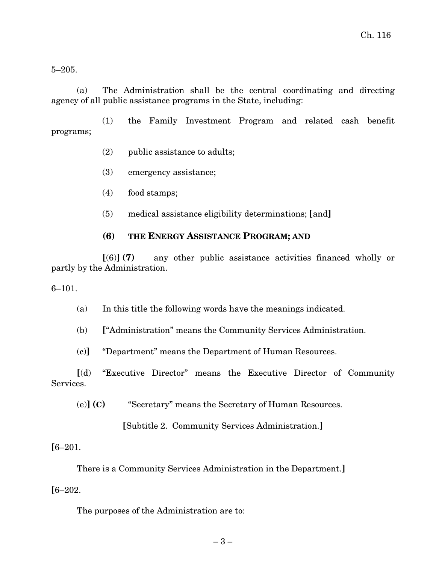5–205.

(a) The Administration shall be the central coordinating and directing agency of all public assistance programs in the State, including:

(1) the Family Investment Program and related cash benefit programs;

- (2) public assistance to adults;
- (3) emergency assistance;
- (4) food stamps;
- (5) medical assistance eligibility determinations; **[**and**]**

# **(6) THE ENERGY ASSISTANCE PROGRAM; AND**

**[**(6)**] (7)** any other public assistance activities financed wholly or partly by the Administration.

#### 6–101.

(a) In this title the following words have the meanings indicated.

(b) **[**"Administration" means the Community Services Administration.

(c)**]** "Department" means the Department of Human Resources.

**[**(d) "Executive Director" means the Executive Director of Community Services.

(e)**] (C)** "Secretary" means the Secretary of Human Resources.

**[**Subtitle 2. Community Services Administration.**]**

# **[**6–201.

There is a Community Services Administration in the Department.**]**

# **[**6–202.

The purposes of the Administration are to: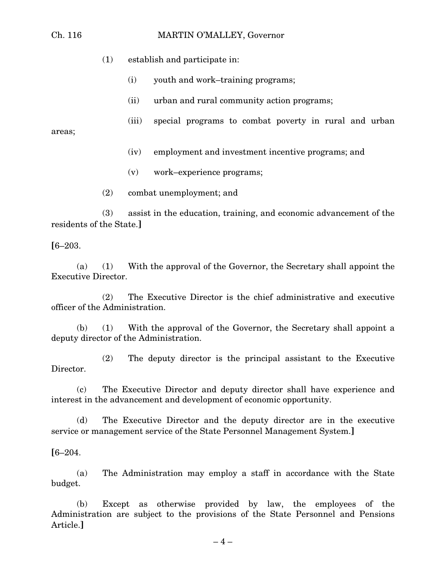#### Ch. 116 MARTIN O'MALLEY, Governor

- (1) establish and participate in:
	- (i) youth and work–training programs;
	- (ii) urban and rural community action programs;
	- (iii) special programs to combat poverty in rural and urban

areas;

- (iv) employment and investment incentive programs; and
- (v) work–experience programs;
- (2) combat unemployment; and

(3) assist in the education, training, and economic advancement of the residents of the State.**]**

**[**6–203.

(a) (1) With the approval of the Governor, the Secretary shall appoint the Executive Director.

(2) The Executive Director is the chief administrative and executive officer of the Administration.

(b) (1) With the approval of the Governor, the Secretary shall appoint a deputy director of the Administration.

(2) The deputy director is the principal assistant to the Executive Director.

(c) The Executive Director and deputy director shall have experience and interest in the advancement and development of economic opportunity.

(d) The Executive Director and the deputy director are in the executive service or management service of the State Personnel Management System.**]**

**[**6–204.

(a) The Administration may employ a staff in accordance with the State budget.

(b) Except as otherwise provided by law, the employees of the Administration are subject to the provisions of the State Personnel and Pensions Article.**]**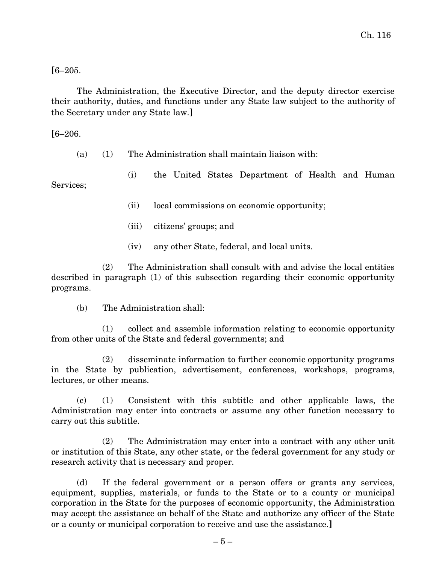# **[**6–205.

The Administration, the Executive Director, and the deputy director exercise their authority, duties, and functions under any State law subject to the authority of the Secretary under any State law.**]**

# **[**6–206.

(a) (1) The Administration shall maintain liaison with:

(i) the United States Department of Health and Human Services;

(ii) local commissions on economic opportunity;

- (iii) citizens' groups; and
- (iv) any other State, federal, and local units.

(2) The Administration shall consult with and advise the local entities described in paragraph (1) of this subsection regarding their economic opportunity programs.

(b) The Administration shall:

(1) collect and assemble information relating to economic opportunity from other units of the State and federal governments; and

(2) disseminate information to further economic opportunity programs in the State by publication, advertisement, conferences, workshops, programs, lectures, or other means.

(c) (1) Consistent with this subtitle and other applicable laws, the Administration may enter into contracts or assume any other function necessary to carry out this subtitle.

(2) The Administration may enter into a contract with any other unit or institution of this State, any other state, or the federal government for any study or research activity that is necessary and proper.

(d) If the federal government or a person offers or grants any services, equipment, supplies, materials, or funds to the State or to a county or municipal corporation in the State for the purposes of economic opportunity, the Administration may accept the assistance on behalf of the State and authorize any officer of the State or a county or municipal corporation to receive and use the assistance.**]**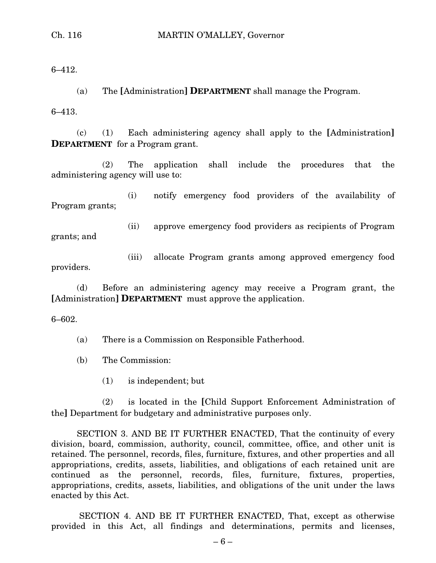6–412.

(a) The **[**Administration**] DEPARTMENT** shall manage the Program.

6–413.

(c) (1) Each administering agency shall apply to the **[**Administration**] DEPARTMENT** for a Program grant.

(2) The application shall include the procedures that the administering agency will use to:

(i) notify emergency food providers of the availability of Program grants;

grants; and

(ii) approve emergency food providers as recipients of Program

(iii) allocate Program grants among approved emergency food providers.

(d) Before an administering agency may receive a Program grant, the **[**Administration**] DEPARTMENT** must approve the application.

6–602.

(a) There is a Commission on Responsible Fatherhood.

- (b) The Commission:
	- (1) is independent; but

(2) is located in the **[**Child Support Enforcement Administration of the**]** Department for budgetary and administrative purposes only.

SECTION 3. AND BE IT FURTHER ENACTED, That the continuity of every division, board, commission, authority, council, committee, office, and other unit is retained. The personnel, records, files, furniture, fixtures, and other properties and all appropriations, credits, assets, liabilities, and obligations of each retained unit are continued as the personnel, records, files, furniture, fixtures, properties, appropriations, credits, assets, liabilities, and obligations of the unit under the laws enacted by this Act.

SECTION 4. AND BE IT FURTHER ENACTED, That, except as otherwise provided in this Act, all findings and determinations, permits and licenses,